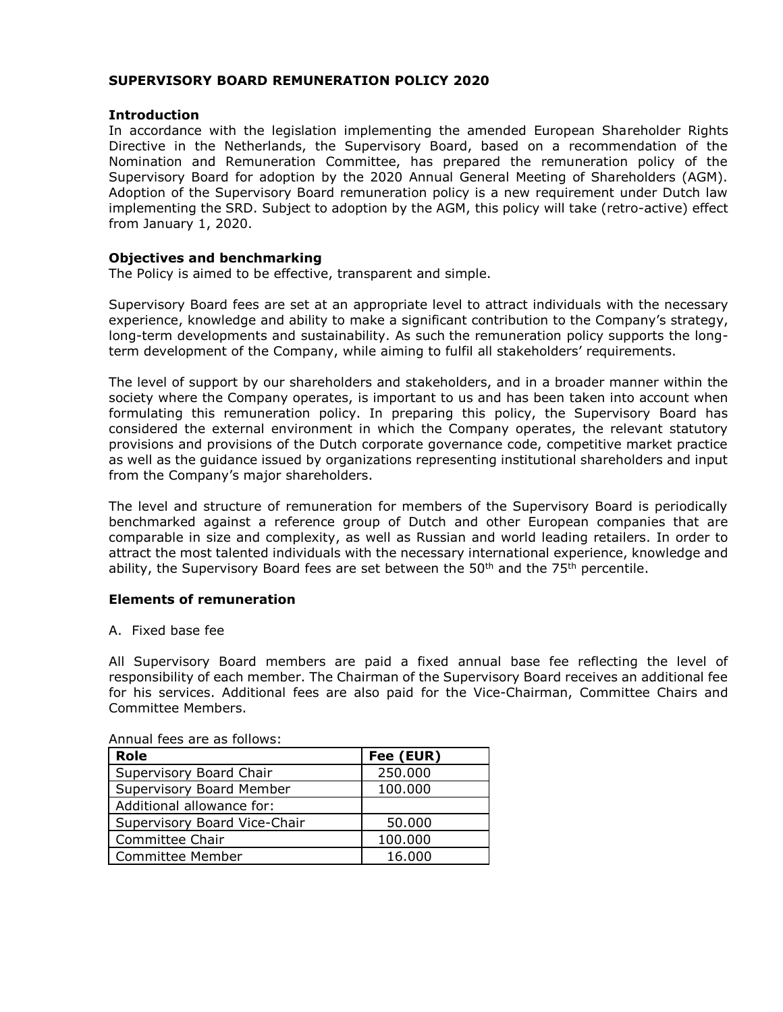## **SUPERVISORY BOARD REMUNERATION POLICY 2020**

#### **Introduction**

In accordance with the legislation implementing the amended European Shareholder Rights Directive in the Netherlands, the Supervisory Board, based on a recommendation of the Nomination and Remuneration Committee, has prepared the remuneration policy of the Supervisory Board for adoption by the 2020 Annual General Meeting of Shareholders (AGM). Adoption of the Supervisory Board remuneration policy is a new requirement under Dutch law implementing the SRD. Subject to adoption by the AGM, this policy will take (retro-active) effect from January 1, 2020.

### **Objectives and benchmarking**

The Policy is aimed to be effective, transparent and simple.

Supervisory Board fees are set at an appropriate level to attract individuals with the necessary experience, knowledge and ability to make a significant contribution to the Company's strategy, long-term developments and sustainability. As such the remuneration policy supports the longterm development of the Company, while aiming to fulfil all stakeholders' requirements.

The level of support by our shareholders and stakeholders, and in a broader manner within the society where the Company operates, is important to us and has been taken into account when formulating this remuneration policy. In preparing this policy, the Supervisory Board has considered the external environment in which the Company operates, the relevant statutory provisions and provisions of the Dutch corporate governance code, competitive market practice as well as the guidance issued by organizations representing institutional shareholders and input from the Company's major shareholders.

The level and structure of remuneration for members of the Supervisory Board is periodically benchmarked against a reference group of Dutch and other European companies that are comparable in size and complexity, as well as Russian and world leading retailers. In order to attract the most talented individuals with the necessary international experience, knowledge and ability, the Supervisory Board fees are set between the  $50<sup>th</sup>$  and the  $75<sup>th</sup>$  percentile.

## **Elements of remuneration**

#### A. Fixed base fee

All Supervisory Board members are paid a fixed annual base fee reflecting the level of responsibility of each member. The Chairman of the Supervisory Board receives an additional fee for his services. Additional fees are also paid for the Vice-Chairman, Committee Chairs and Committee Members.

| <b>Role</b>                  | Fee (EUR) |
|------------------------------|-----------|
| Supervisory Board Chair      | 250.000   |
| Supervisory Board Member     | 100.000   |
| Additional allowance for:    |           |
| Supervisory Board Vice-Chair | 50.000    |
| Committee Chair              | 100.000   |
| <b>Committee Member</b>      | 16.000    |

Annual fees are as follows: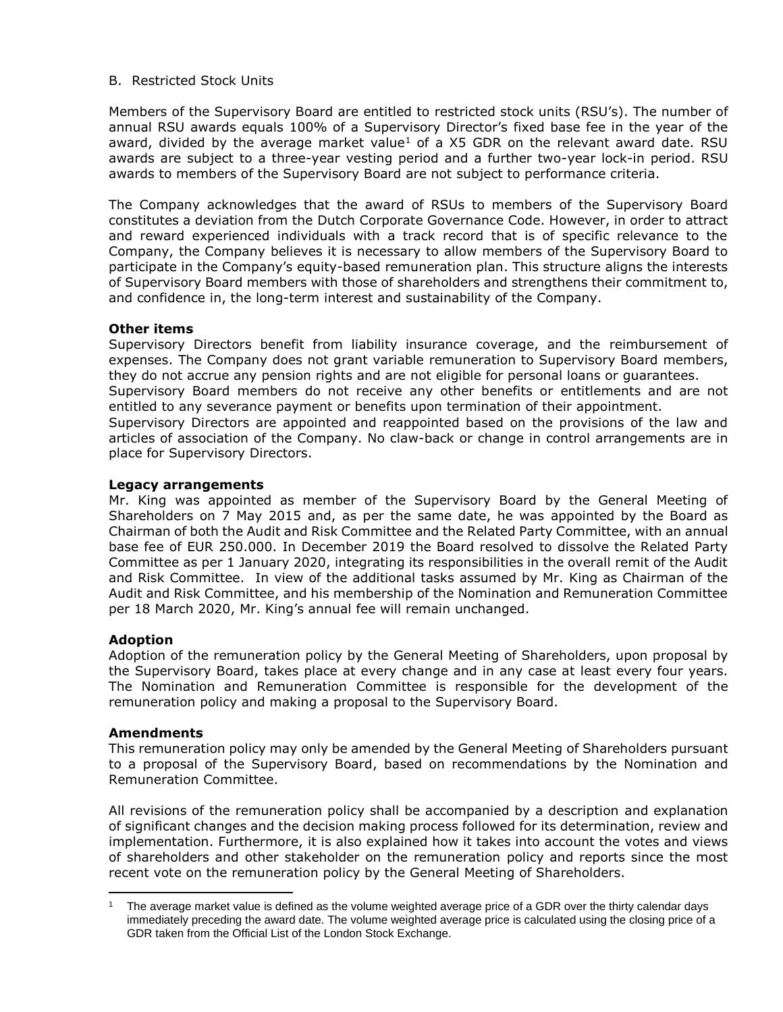## B. Restricted Stock Units

Members of the Supervisory Board are entitled to restricted stock units (RSU's). The number of annual RSU awards equals 100% of a Supervisory Director's fixed base fee in the year of the award, divided by the average market value<sup>1</sup> of a  $X5$  GDR on the relevant award date. RSU awards are subject to a three-year vesting period and a further two-year lock-in period. RSU awards to members of the Supervisory Board are not subject to performance criteria.

The Company acknowledges that the award of RSUs to members of the Supervisory Board constitutes a deviation from the Dutch Corporate Governance Code. However, in order to attract and reward experienced individuals with a track record that is of specific relevance to the Company, the Company believes it is necessary to allow members of the Supervisory Board to participate in the Company's equity-based remuneration plan. This structure aligns the interests of Supervisory Board members with those of shareholders and strengthens their commitment to, and confidence in, the long-term interest and sustainability of the Company.

## **Other items**

Supervisory Directors benefit from liability insurance coverage, and the reimbursement of expenses. The Company does not grant variable remuneration to Supervisory Board members, they do not accrue any pension rights and are not eligible for personal loans or guarantees. Supervisory Board members do not receive any other benefits or entitlements and are not entitled to any severance payment or benefits upon termination of their appointment. Supervisory Directors are appointed and reappointed based on the provisions of the law and articles of association of the Company. No claw-back or change in control arrangements are in place for Supervisory Directors.

# **Legacy arrangements**

Mr. King was appointed as member of the Supervisory Board by the General Meeting of Shareholders on 7 May 2015 and, as per the same date, he was appointed by the Board as Chairman of both the Audit and Risk Committee and the Related Party Committee, with an annual base fee of EUR 250.000. In December 2019 the Board resolved to dissolve the Related Party Committee as per 1 January 2020, integrating its responsibilities in the overall remit of the Audit and Risk Committee. In view of the additional tasks assumed by Mr. King as Chairman of the Audit and Risk Committee, and his membership of the Nomination and Remuneration Committee per 18 March 2020, Mr. King's annual fee will remain unchanged.

## **Adoption**

Adoption of the remuneration policy by the General Meeting of Shareholders, upon proposal by the Supervisory Board, takes place at every change and in any case at least every four years. The Nomination and Remuneration Committee is responsible for the development of the remuneration policy and making a proposal to the Supervisory Board.

## **Amendments**

This remuneration policy may only be amended by the General Meeting of Shareholders pursuant to a proposal of the Supervisory Board, based on recommendations by the Nomination and Remuneration Committee.

All revisions of the remuneration policy shall be accompanied by a description and explanation of significant changes and the decision making process followed for its determination, review and implementation. Furthermore, it is also explained how it takes into account the votes and views of shareholders and other stakeholder on the remuneration policy and reports since the most recent vote on the remuneration policy by the General Meeting of Shareholders.

 $\overline{a}$ The average market value is defined as the volume weighted average price of a GDR over the thirty calendar days immediately preceding the award date. The volume weighted average price is calculated using the closing price of a GDR taken from the Official List of the London Stock Exchange.